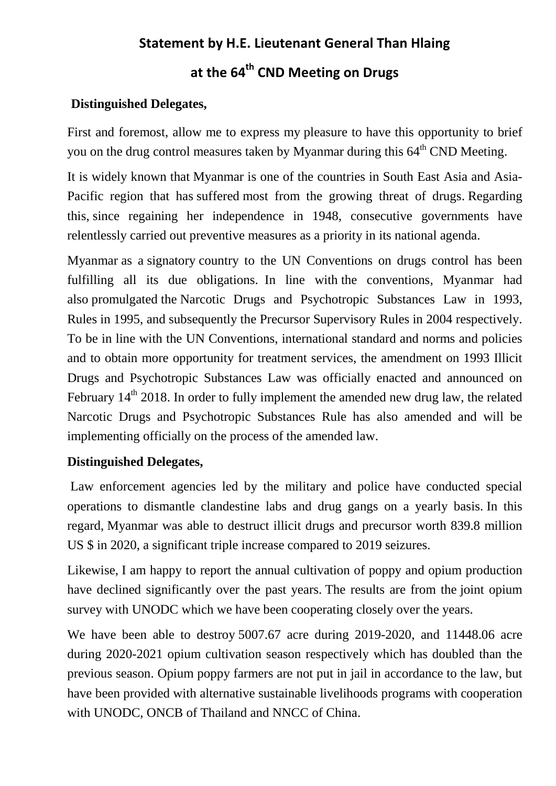# **Statement by H.E. Lieutenant General Than Hlaing**

# **at the 64th CND Meeting on Drugs**

# **Distinguished Delegates,**

First and foremost, allow me to express my pleasure to have this opportunity to brief you on the drug control measures taken by Myanmar during this  $64<sup>th</sup>$  CND Meeting.

It is widely known that Myanmar is one of the countries in South East Asia and Asia- Pacific region that has suffered most from the growing threat of drugs. Regarding this, since regaining her independence in 1948, consecutive governments have relentlessly carried out preventive measures as a priority in its national agenda.

Myanmar as a signatory country to the UN Conventions on drugs control has been fulfilling all its due obligations. In line with the conventions, Myanmar had also promulgated the Narcotic Drugs and Psychotropic Substances Law in 1993, Rules in 1995, and subsequently the Precursor Supervisory Rules in 2004 respectively. To be in line with the UN Conventions, international standard and norms and policies and to obtain more opportunity for treatment services, the amendment on 1993 Illicit Drugs and Psychotropic Substances Law was officially enacted and announced on February  $14<sup>th</sup>$  2018. In order to fully implement the amended new drug law, the related Narcotic Drugs and Psychotropic Substances Rule has also amended and will be implementing officially on the process of the amended law.

## **Distinguished Delegates,**

Law enforcement agencies led by the military and police have conducted special operations to dismantle clandestine labs and drug gangs on a yearly basis. In this regard, Myanmar was able to destruct illicit drugs and precursor worth 839.8 million US \$ in 2020, a significant triple increase compared to 2019 seizures.

Likewise, I am happy to report the annual cultivation of poppy and opium production have declined significantly over the past years. The results are from the joint opium survey with UNODC which we have been cooperating closely over the years.

We have been able to destroy 5007.67 acre during 2019-2020, and 11448.06 acre during 2020-2021 opium cultivation season respectively which has doubled than the previous season. Opium poppy farmers are not put in jail in accordance to the law, but have been provided with alternative sustainable livelihoods programs with cooperation with UNODC, ONCB of Thailand and NNCC of China.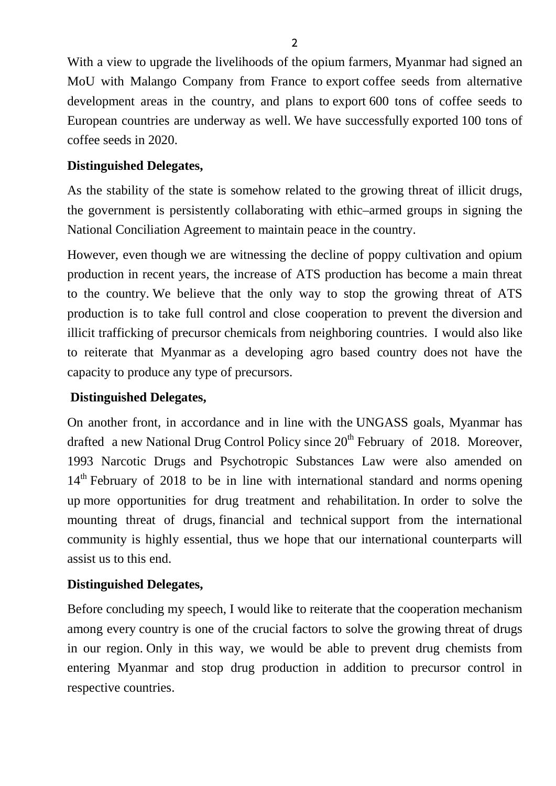With a view to upgrade the livelihoods of the opium farmers, Myanmar had signed an MoU with Malango Company from France to export coffee seeds from alternative development areas in the country, and plans to export 600 tons of coffee seeds to European countries are underway as well. We have successfully exported 100 tons of coffee seeds in 2020.

#### **Distinguished Delegates,**

As the stability of the state is somehow related to the growing threat of illicit drugs, the government is persistently collaborating with ethic–armed groups in signing the National Conciliation Agreement to maintain peace in the country.

However, even though we are witnessing the decline of poppy cultivation and opium production in recent years, the increase of ATS production has become a main threat to the country. We believe that the only way to stop the growing threat of ATS production is to take full control and close cooperation to prevent the diversion and illicit trafficking of precursor chemicals from neighboring countries. I would also like to reiterate that Myanmar as a developing agro based country does not have the capacity to produce any type of precursors.

#### **Distinguished Delegates,**

On another front, in accordance and in line with the UNGASS goals, Myanmar has drafted a new National Drug Control Policy since  $20<sup>th</sup>$  February of 2018. Moreover, 1993 Narcotic Drugs and Psychotropic Substances Law were also amended on 14<sup>th</sup> February of 2018 to be in line with international standard and norms opening up more opportunities for drug treatment and rehabilitation. In order to solve the mounting threat of drugs, financial and technical support from the international community is highly essential, thus we hope that our international counterparts will assist us to this end.

### **Distinguished Delegates,**

Before concluding my speech, I would like to reiterate that the cooperation mechanism among every country is one of the crucial factors to solve the growing threat of drugs in our region. Only in this way, we would be able to prevent drug chemists from entering Myanmar and stop drug production in addition to precursor control in respective countries.